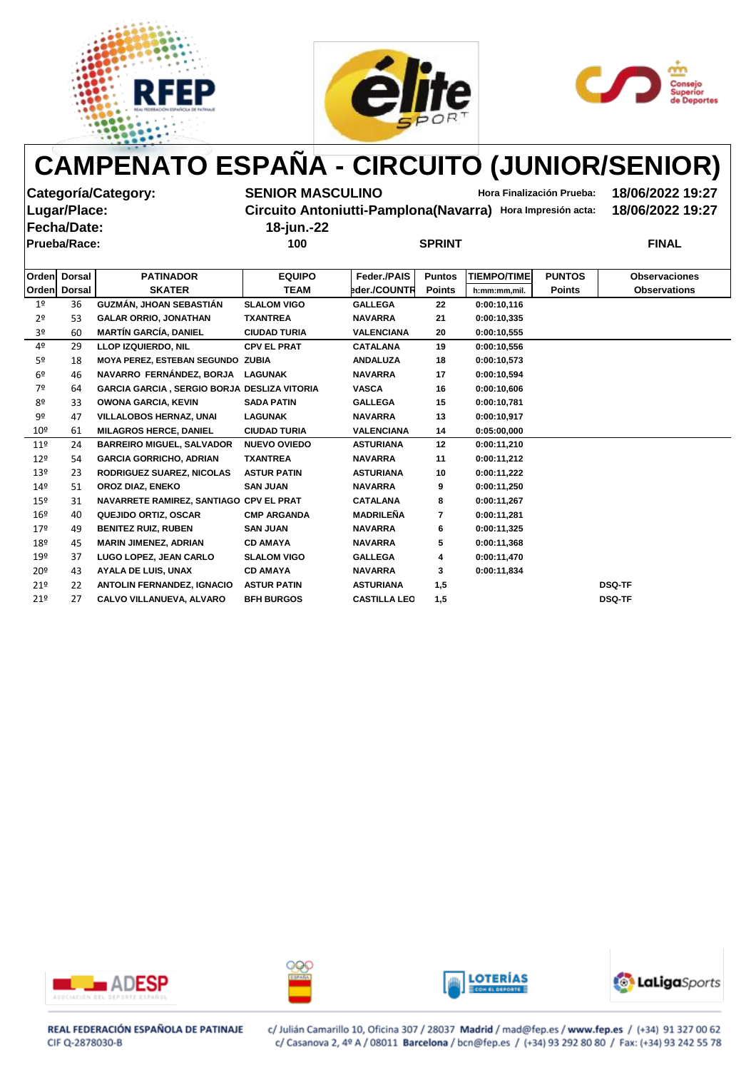





**Fecha/Date: 18-jun.-22**

**Categoría/Category: SENIOR MASCULINO Hora Finalización Prueba: 18/06/2022 19:27**

**Lugar/Place: Circuito Antoniutti-Pamplona(Navarra) Hora Impresión acta: 18/06/2022 19:27**

**Prueba/Race: 100 SPRINT FINAL**

|  | SPRINT |
|--|--------|

|                 | Orden Dorsal | <b>PATINADOR</b>                                   | <b>EQUIPO</b>       | Feder./PAIS         | <b>Puntos</b> | <b>TIEMPO/TIME</b> | <b>PUNTOS</b> | <b>Observaciones</b> |
|-----------------|--------------|----------------------------------------------------|---------------------|---------------------|---------------|--------------------|---------------|----------------------|
|                 | Orden Dorsal | <b>SKATER</b>                                      | <b>TEAM</b>         | eder./COUNTR        | <b>Points</b> | h:mm:mm,mil.       | <b>Points</b> | <b>Observations</b>  |
| 1 <sup>°</sup>  | 36           | GUZMÁN, JHOAN SEBASTIÁN                            | <b>SLALOM VIGO</b>  | <b>GALLEGA</b>      | 22            | 0:00:10,116        |               |                      |
| 2 <sup>o</sup>  | 53           | <b>GALAR ORRIO, JONATHAN</b>                       | <b>TXANTREA</b>     | <b>NAVARRA</b>      | 21            | 0:00:10,335        |               |                      |
| 3º              | 60           | <b>MARTÍN GARCÍA, DANIEL</b>                       | <b>CIUDAD TURIA</b> | <b>VALENCIANA</b>   | 20            | 0:00:10,555        |               |                      |
| 4º              | 29           | <b>LLOP IZQUIERDO, NIL</b>                         | <b>CPV EL PRAT</b>  | <b>CATALANA</b>     | 19            | 0:00:10,556        |               |                      |
| 5 <sup>o</sup>  | 18           | MOYA PEREZ, ESTEBAN SEGUNDO ZUBIA                  |                     | <b>ANDALUZA</b>     | 18            | 0:00:10,573        |               |                      |
| 6 <sup>°</sup>  | 46           | NAVARRO FERNÁNDEZ, BORJA                           | <b>LAGUNAK</b>      | <b>NAVARRA</b>      | 17            | 0:00:10,594        |               |                      |
| 7º              | 64           | <b>GARCIA GARCIA, SERGIO BORJA DESLIZA VITORIA</b> |                     | <b>VASCA</b>        | 16            | 0:00:10,606        |               |                      |
| 8º              | 33           | <b>OWONA GARCIA, KEVIN</b>                         | <b>SADA PATIN</b>   | <b>GALLEGA</b>      | 15            | 0:00:10,781        |               |                      |
| 9º              | 47           | <b>VILLALOBOS HERNAZ, UNAI</b>                     | <b>LAGUNAK</b>      | <b>NAVARRA</b>      | 13            | 0:00:10.917        |               |                      |
| 10 <sup>°</sup> | 61           | <b>MILAGROS HERCE, DANIEL</b>                      | <b>CIUDAD TURIA</b> | <b>VALENCIANA</b>   | 14            | 0:05:00,000        |               |                      |
| $11^{\circ}$    | 24           | <b>BARREIRO MIGUEL, SALVADOR</b>                   | <b>NUEVO OVIEDO</b> | <b>ASTURIANA</b>    | 12            | 0:00:11,210        |               |                      |
| 12 <sup>°</sup> | 54           | <b>GARCIA GORRICHO, ADRIAN</b>                     | <b>TXANTREA</b>     | <b>NAVARRA</b>      | 11            | 0:00:11,212        |               |                      |
| 13 <sup>°</sup> | 23           | RODRIGUEZ SUAREZ, NICOLAS                          | <b>ASTUR PATIN</b>  | <b>ASTURIANA</b>    | 10            | 0:00:11,222        |               |                      |
| 14 <sup>°</sup> | 51           | OROZ DIAZ, ENEKO                                   | <b>SAN JUAN</b>     | <b>NAVARRA</b>      | 9             | 0:00:11,250        |               |                      |
| $15^{\circ}$    | 31           | NAVARRETE RAMIREZ, SANTIAGO CPV EL PRAT            |                     | <b>CATALANA</b>     | 8             | 0:00:11,267        |               |                      |
| 16 <sup>°</sup> | 40           | <b>QUEJIDO ORTIZ, OSCAR</b>                        | <b>CMP ARGANDA</b>  | <b>MADRILEÑA</b>    | 7             | 0:00:11,281        |               |                      |
| 179             | 49           | <b>BENITEZ RUIZ, RUBEN</b>                         | <b>SAN JUAN</b>     | <b>NAVARRA</b>      | 6             | 0:00:11,325        |               |                      |
| 18º             | 45           | <b>MARIN JIMENEZ, ADRIAN</b>                       | <b>CD AMAYA</b>     | <b>NAVARRA</b>      | 5             | 0:00:11,368        |               |                      |
| 19º             | 37           | LUGO LOPEZ, JEAN CARLO                             | <b>SLALOM VIGO</b>  | <b>GALLEGA</b>      | 4             | 0:00:11,470        |               |                      |
| 20 <sup>°</sup> | 43           | <b>AYALA DE LUIS, UNAX</b>                         | <b>CD AMAYA</b>     | <b>NAVARRA</b>      | 3             | 0:00:11,834        |               |                      |
| 21°             | 22           | <b>ANTOLIN FERNANDEZ, IGNACIO</b>                  | <b>ASTUR PATIN</b>  | <b>ASTURIANA</b>    | 1,5           |                    |               | <b>DSQ-TF</b>        |
| 21°             | 27           | CALVO VILLANUEVA, ALVARO                           | <b>BFH BURGOS</b>   | <b>CASTILLA LEO</b> | 1,5           |                    |               | <b>DSQ-TF</b>        |
|                 |              |                                                    |                     |                     |               |                    |               |                      |









REAL FEDERACIÓN ESPAÑOLA DE PATINAJE CIF Q-2878030-B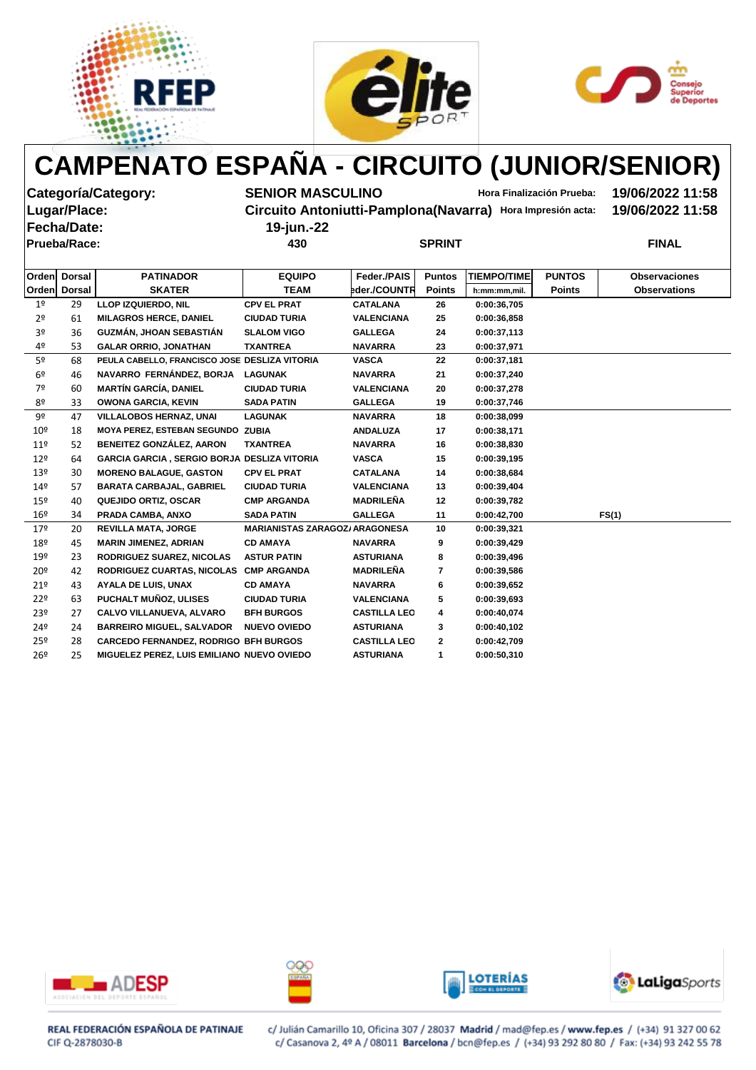





**Fecha/Date: 19-jun.-22**

**Categoría/Category: SENIOR MASCULINO Hora Finalización Prueba: 19/06/2022 11:58 Lugar/Place: Circuito Antoniutti-Pamplona(Navarra) Hora Impresión acta: 19/06/2022 11:58**

**Prueba/Race: 430 SPRINT FINAL**

| <b>SPRINT</b> |  |
|---------------|--|

| <b>Orden</b>    | <b>Dorsal</b> | <b>PATINADOR</b>                                   | <b>EQUIPO</b>                         | Feder./PAIS         | <b>Puntos</b> | <b>TIEMPO/TIME</b> | <b>PUNTOS</b> | <b>Observaciones</b> |
|-----------------|---------------|----------------------------------------------------|---------------------------------------|---------------------|---------------|--------------------|---------------|----------------------|
| <b>Orden</b>    | <b>Dorsal</b> | <b>SKATER</b>                                      | <b>TEAM</b>                           | eder./COUNTR        | <b>Points</b> | h:mm:mm,mil.       | <b>Points</b> | <b>Observations</b>  |
| 1 <sup>°</sup>  | 29            | <b>LLOP IZQUIERDO, NIL</b>                         | <b>CPV EL PRAT</b>                    | <b>CATALANA</b>     | 26            | 0:00:36,705        |               |                      |
| 2 <sup>o</sup>  | 61            | <b>MILAGROS HERCE, DANIEL</b>                      | <b>CIUDAD TURIA</b>                   | <b>VALENCIANA</b>   | 25            | 0:00:36,858        |               |                      |
| 3º              | 36            | GUZMÁN, JHOAN SEBASTIÁN                            | <b>SLALOM VIGO</b>                    | <b>GALLEGA</b>      | 24            | 0:00:37,113        |               |                      |
| 4º              | 53            | <b>GALAR ORRIO, JONATHAN</b>                       | <b>TXANTREA</b>                       | <b>NAVARRA</b>      | 23            | 0:00:37,971        |               |                      |
| 5 <sup>o</sup>  | 68            | PEULA CABELLO, FRANCISCO JOSE DESLIZA VITORIA      |                                       | <b>VASCA</b>        | 22            | 0:00:37,181        |               |                      |
| 6 <sup>°</sup>  | 46            | NAVARRO FERNÁNDEZ, BORJA                           | <b>LAGUNAK</b>                        | <b>NAVARRA</b>      | 21            | 0:00:37,240        |               |                      |
| 7º              | 60            | <b>MARTÍN GARCÍA, DANIEL</b>                       | <b>CIUDAD TURIA</b>                   | <b>VALENCIANA</b>   | 20            | 0:00:37,278        |               |                      |
| 8º              | 33            | <b>OWONA GARCIA, KEVIN</b>                         | <b>SADA PATIN</b>                     | <b>GALLEGA</b>      | 19            | 0:00:37,746        |               |                      |
| 9º              | 47            | <b>VILLALOBOS HERNAZ, UNAI</b>                     | <b>LAGUNAK</b>                        | <b>NAVARRA</b>      | 18            | 0:00:38,099        |               |                      |
| 10 <sup>°</sup> | 18            | MOYA PEREZ, ESTEBAN SEGUNDO ZUBIA                  |                                       | <b>ANDALUZA</b>     | 17            | 0:00:38,171        |               |                      |
| 11 <sup>°</sup> | 52            | <b>BENEITEZ GONZÁLEZ, AARON</b>                    | <b>TXANTREA</b>                       | <b>NAVARRA</b>      | 16            | 0:00:38,830        |               |                      |
| 12 <sup>°</sup> | 64            | <b>GARCIA GARCIA, SERGIO BORJA DESLIZA VITORIA</b> |                                       | <b>VASCA</b>        | 15            | 0:00:39,195        |               |                      |
| 13º             | 30            | <b>MORENO BALAGUE, GASTON</b>                      | <b>CPV EL PRAT</b>                    | <b>CATALANA</b>     | 14            | 0:00:38,684        |               |                      |
| 14 <sup>°</sup> | 57            | <b>BARATA CARBAJAL, GABRIEL</b>                    | <b>CIUDAD TURIA</b>                   | <b>VALENCIANA</b>   | 13            | 0:00:39,404        |               |                      |
| 15º             | 40            | <b>QUEJIDO ORTIZ, OSCAR</b>                        | <b>CMP ARGANDA</b>                    | <b>MADRILEÑA</b>    | 12            | 0:00:39,782        |               |                      |
| 16 <sup>°</sup> | 34            | PRADA CAMBA, ANXO                                  | <b>SADA PATIN</b>                     | <b>GALLEGA</b>      | 11            | 0:00:42,700        |               | FS(1)                |
| 179             | 20            | <b>REVILLA MATA, JORGE</b>                         | <b>MARIANISTAS ZARAGOZ/ ARAGONESA</b> |                     | 10            | 0:00:39,321        |               |                      |
| 18º             | 45            | <b>MARIN JIMENEZ, ADRIAN</b>                       | <b>CD AMAYA</b>                       | <b>NAVARRA</b>      | 9             | 0:00:39,429        |               |                      |
| 19º             | 23            | <b>RODRIGUEZ SUAREZ, NICOLAS</b>                   | <b>ASTUR PATIN</b>                    | <b>ASTURIANA</b>    | 8             | 0:00:39,496        |               |                      |
| 20 <sup>°</sup> | 42            | RODRIGUEZ CUARTAS, NICOLAS CMP ARGANDA             |                                       | <b>MADRILEÑA</b>    | 7             | 0:00:39,586        |               |                      |
| 21°             | 43            | <b>AYALA DE LUIS, UNAX</b>                         | <b>CD AMAYA</b>                       | <b>NAVARRA</b>      | 6             | 0:00:39,652        |               |                      |
| 22 <sup>°</sup> | 63            | PUCHALT MUÑOZ, ULISES                              | <b>CIUDAD TURIA</b>                   | <b>VALENCIANA</b>   | 5             | 0:00:39,693        |               |                      |
| 23 <sup>°</sup> | 27            | <b>CALVO VILLANUEVA, ALVARO</b>                    | <b>BFH BURGOS</b>                     | <b>CASTILLA LEO</b> | 4             | 0:00:40,074        |               |                      |
| 24º             | 24            | <b>BARREIRO MIGUEL, SALVADOR</b>                   | <b>NUEVO OVIEDO</b>                   | <b>ASTURIANA</b>    | 3             | 0:00:40,102        |               |                      |
| 25 <sup>°</sup> | 28            | <b>CARCEDO FERNANDEZ, RODRIGO BFH BURGOS</b>       |                                       | <b>CASTILLA LEO</b> | $\mathbf{2}$  | 0:00:42,709        |               |                      |
| 26 <sup>°</sup> | 25            | <b>MIGUELEZ PEREZ, LUIS EMILIANO NUEVO OVIEDO</b>  |                                       | <b>ASTURIANA</b>    | $\mathbf 1$   | 0:00:50,310        |               |                      |
|                 |               |                                                    |                                       |                     |               |                    |               |                      |









REAL FEDERACIÓN ESPAÑOLA DE PATINAJE CIF Q-2878030-B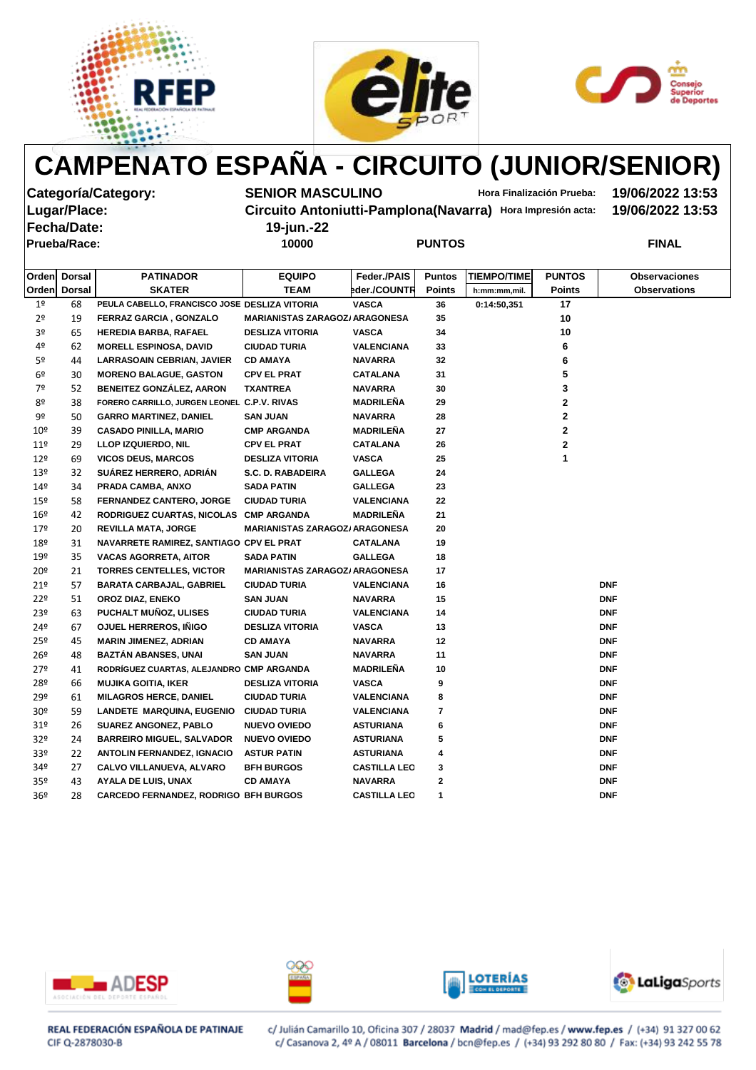





**Categoría/Category: SENIOR MASCULINO Hora Finalización Prueba: 19/06/2022 13:53 Lugar/Place: Circuito Antoniutti-Pamplona(Navarra) Hora Impresión acta: 19/06/2022 13:53**

| <b>PUNTOS</b> |
|---------------|
|---------------|

| <b>Fecha/Date:</b><br><b>Prueba/Race:</b> |                  | 19-jun.-22<br>10000 |                    | <b>PUNTOS</b> |                    |               | <b>FINAL</b>         |
|-------------------------------------------|------------------|---------------------|--------------------|---------------|--------------------|---------------|----------------------|
| <b>Orden Dorsal</b>                       | <b>PATINADOR</b> | <b>EQUIPO</b>       | <b>Feder /PAIS</b> | <b>Puntos</b> | <b>TIEMPO/TIME</b> | <b>PUNTOS</b> | <b>Observaciones</b> |
| <b>Orden Dorsal</b>                       | <b>SKATER</b>    | <b>TEAM</b>         | bder./COUNTR       | <b>Points</b> | h:mm:mm,mil.       | <b>Points</b> | <b>Observations</b>  |

|                 | Orden Dorsal | <b>SKATER</b>                                 | <b>TEAM</b>                           | eder./COUNTR        | <b>Points</b>   | h:mm:mm,mil. | <b>Points</b> | <b>Observations</b> |
|-----------------|--------------|-----------------------------------------------|---------------------------------------|---------------------|-----------------|--------------|---------------|---------------------|
| 1 <sup>°</sup>  | 68           | PEULA CABELLO, FRANCISCO JOSE DESLIZA VITORIA |                                       | <b>VASCA</b>        | 36              | 0:14:50,351  | 17            |                     |
| 2 <sup>o</sup>  | 19           | FERRAZ GARCIA, GONZALO                        | <b>MARIANISTAS ZARAGOZ/ ARAGONESA</b> |                     | 35              |              | 10            |                     |
| 3º              | 65           | <b>HEREDIA BARBA, RAFAEL</b>                  | <b>DESLIZA VITORIA</b>                | <b>VASCA</b>        | 34              |              | 10            |                     |
| 4º              | 62           | <b>MORELL ESPINOSA, DAVID</b>                 | <b>CIUDAD TURIA</b>                   | <b>VALENCIANA</b>   | 33              |              | 6             |                     |
| 5º              | 44           | <b>LARRASOAIN CEBRIAN, JAVIER</b>             | <b>CD AMAYA</b>                       | <b>NAVARRA</b>      | 32 <sub>2</sub> |              | 6             |                     |
| 6º              | 30           | <b>MORENO BALAGUE, GASTON</b>                 | <b>CPV EL PRAT</b>                    | <b>CATALANA</b>     | 31              |              | 5             |                     |
| 7º              | 52           | BENEITEZ GONZÁLEZ, AARON                      | <b>TXANTREA</b>                       | <b>NAVARRA</b>      | 30              |              | 3             |                     |
| 8º              | 38           | FORERO CARRILLO, JURGEN LEONEL C.P.V. RIVAS   |                                       | <b>MADRILEÑA</b>    | 29              |              | 2             |                     |
| 9º              | 50           | <b>GARRO MARTINEZ, DANIEL</b>                 | <b>SAN JUAN</b>                       | <b>NAVARRA</b>      | 28              |              | $\mathbf{2}$  |                     |
| $10^{\sf o}$    | 39           | <b>CASADO PINILLA, MARIO</b>                  | <b>CMP ARGANDA</b>                    | <b>MADRILEÑA</b>    | 27              |              | $\mathbf 2$   |                     |
| $11^{\circ}$    | 29           | <b>LLOP IZQUIERDO, NIL</b>                    | <b>CPV EL PRAT</b>                    | <b>CATALANA</b>     | 26              |              | $\mathbf 2$   |                     |
| 12º             | 69           | <b>VICOS DEUS, MARCOS</b>                     | <b>DESLIZA VITORIA</b>                | <b>VASCA</b>        | 25              |              | 1             |                     |
| 13 <sup>°</sup> | 32           | SUÁREZ HERRERO, ADRIÁN                        | S.C. D. RABADEIRA                     | <b>GALLEGA</b>      | 24              |              |               |                     |
| 14 <sup>°</sup> | 34           | PRADA CAMBA, ANXO                             | <b>SADA PATIN</b>                     | <b>GALLEGA</b>      | 23              |              |               |                     |
| 15º             | 58           | FERNANDEZ CANTERO, JORGE                      | <b>CIUDAD TURIA</b>                   | <b>VALENCIANA</b>   | 22              |              |               |                     |
| 16º             | 42           | RODRIGUEZ CUARTAS, NICOLAS CMP ARGANDA        |                                       | <b>MADRILEÑA</b>    | 21              |              |               |                     |
| 179             | 20           | <b>REVILLA MATA, JORGE</b>                    | <b>MARIANISTAS ZARAGOZ/ ARAGONESA</b> |                     | 20              |              |               |                     |
| 18º             | 31           | NAVARRETE RAMIREZ, SANTIAGO CPV EL PRAT       |                                       | <b>CATALANA</b>     | 19              |              |               |                     |
| 19º             | 35           | <b>VACAS AGORRETA, AITOR</b>                  | <b>SADA PATIN</b>                     | <b>GALLEGA</b>      | 18              |              |               |                     |
| $20^{\circ}$    | 21           | <b>TORRES CENTELLES, VICTOR</b>               | <b>MARIANISTAS ZARAGOZ/ ARAGONESA</b> |                     | 17              |              |               |                     |
| 21°             | 57           | <b>BARATA CARBAJAL, GABRIEL</b>               | <b>CIUDAD TURIA</b>                   | <b>VALENCIANA</b>   | 16              |              |               | <b>DNF</b>          |
| 22 <sup>°</sup> | 51           | OROZ DIAZ, ENEKO                              | <b>SAN JUAN</b>                       | <b>NAVARRA</b>      | 15              |              |               | <b>DNF</b>          |
| 23º             | 63           | PUCHALT MUÑOZ, ULISES                         | <b>CIUDAD TURIA</b>                   | <b>VALENCIANA</b>   | 14              |              |               | <b>DNF</b>          |
| 24º             | 67           | OJUEL HERREROS, IÑIGO                         | <b>DESLIZA VITORIA</b>                | <b>VASCA</b>        | 13              |              |               | <b>DNF</b>          |
| 25º             | 45           | <b>MARIN JIMENEZ, ADRIAN</b>                  | <b>CD AMAYA</b>                       | <b>NAVARRA</b>      | 12              |              |               | <b>DNF</b>          |
| $26^{\circ}$    | 48           | <b>BAZTÁN ABANSES, UNAI</b>                   | <b>SAN JUAN</b>                       | <b>NAVARRA</b>      | 11              |              |               | <b>DNF</b>          |
| $27^{\circ}$    | 41           | RODRÍGUEZ CUARTAS, ALEJANDRO CMP ARGANDA      |                                       | <b>MADRILEÑA</b>    | 10              |              |               | <b>DNF</b>          |
| 28º             | 66           | <b>MUJIKA GOITIA, IKER</b>                    | <b>DESLIZA VITORIA</b>                | <b>VASCA</b>        | 9               |              |               | <b>DNF</b>          |
| 29º             | 61           | <b>MILAGROS HERCE, DANIEL</b>                 | <b>CIUDAD TURIA</b>                   | <b>VALENCIANA</b>   | 8               |              |               | <b>DNF</b>          |
| 30 <sup>°</sup> | 59           | LANDETE MARQUINA, EUGENIO                     | <b>CIUDAD TURIA</b>                   | <b>VALENCIANA</b>   | 7               |              |               | <b>DNF</b>          |
| 31 <sup>o</sup> | 26           | <b>SUAREZ ANGONEZ, PABLO</b>                  | <b>NUEVO OVIEDO</b>                   | <b>ASTURIANA</b>    | 6               |              |               | <b>DNF</b>          |
| 32 <sup>o</sup> | 24           | <b>BARREIRO MIGUEL, SALVADOR</b>              | <b>NUEVO OVIEDO</b>                   | <b>ASTURIANA</b>    | 5               |              |               | <b>DNF</b>          |
| 33 <sup>o</sup> | 22           | <b>ANTOLIN FERNANDEZ, IGNACIO</b>             | <b>ASTUR PATIN</b>                    | <b>ASTURIANA</b>    | 4               |              |               | <b>DNF</b>          |
| 34º             | 27           | <b>CALVO VILLANUEVA, ALVARO</b>               | <b>BFH BURGOS</b>                     | <b>CASTILLA LEO</b> | 3               |              |               | <b>DNF</b>          |
| 35 <sup>°</sup> | 43           | <b>AYALA DE LUIS, UNAX</b>                    | <b>CD AMAYA</b>                       | <b>NAVARRA</b>      | 2               |              |               | <b>DNF</b>          |
| 36 <sup>°</sup> | 28           | <b>CARCEDO FERNANDEZ, RODRIGO BFH BURGOS</b>  |                                       | <b>CASTILLA LEO</b> | 1               |              |               | <b>DNF</b>          |









REAL FEDERACIÓN ESPAÑOLA DE PATINAJE CIF Q-2878030-B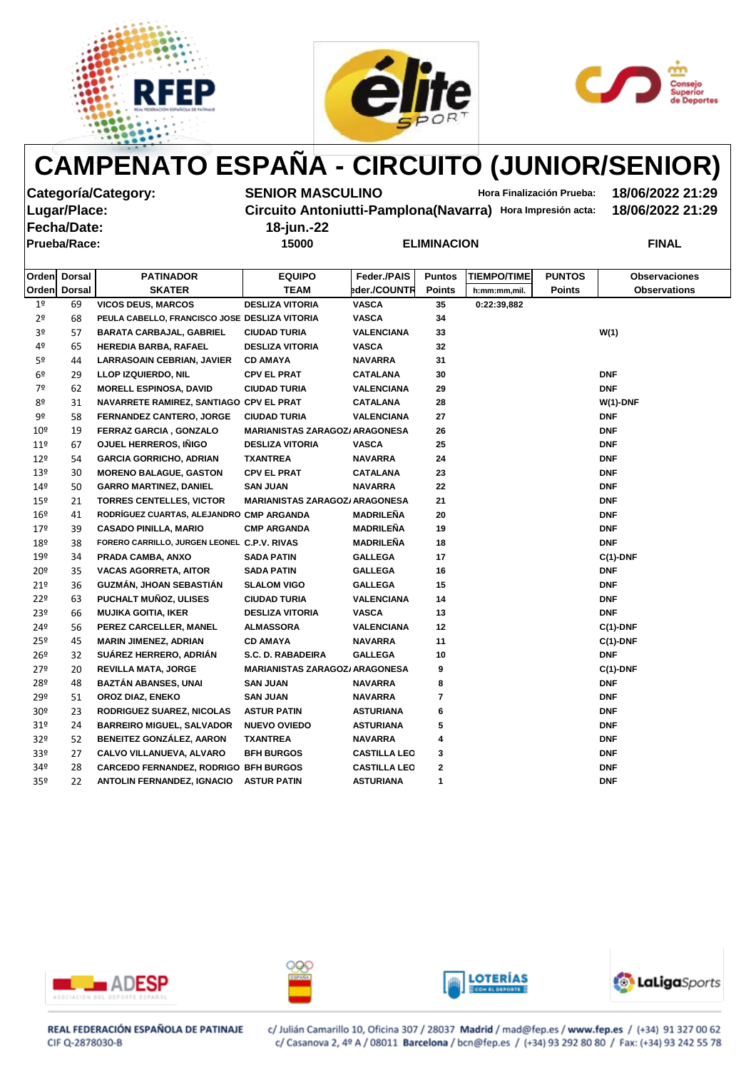





**Fecha/Date: 18-jun.-22**

**Categoría/Category: SENIOR MASCULINO Hora Finalización Prueba: 18/06/2022 21:29**

**Lugar/Place: Circuito Antoniutti-Pamplona(Navarra) Hora Impresión acta: 18/06/2022 21:29**

| 10-juli.-22 |       |  |
|-------------|-------|--|
|             | 15000 |  |

| Prueba/Race: | 15000 | <b>ELIMINACION</b> | FINAL |
|--------------|-------|--------------------|-------|
|              |       |                    |       |

| Orden           | <b>Dorsal</b> | <b>PATINADOR</b>                              | <b>EQUIPO</b>                         | Feder./PAIS         | <b>Puntos</b> | <b>TIEMPO/TIME</b> | <b>PUNTOS</b> | <b>Observaciones</b> |
|-----------------|---------------|-----------------------------------------------|---------------------------------------|---------------------|---------------|--------------------|---------------|----------------------|
| Orden           | <b>Dorsal</b> | <b>SKATER</b>                                 | <b>TEAM</b>                           | eder./COUNTR        | <b>Points</b> | h:mm:mm,mil.       | <b>Points</b> | <b>Observations</b>  |
| 1 <sup>°</sup>  | 69            | <b>VICOS DEUS, MARCOS</b>                     | <b>DESLIZA VITORIA</b>                | <b>VASCA</b>        | 35            | 0:22:39,882        |               |                      |
| 2 <sup>o</sup>  | 68            | PEULA CABELLO, FRANCISCO JOSE DESLIZA VITORIA |                                       | <b>VASCA</b>        | 34            |                    |               |                      |
| 3 <sup>o</sup>  | 57            | <b>BARATA CARBAJAL, GABRIEL</b>               | <b>CIUDAD TURIA</b>                   | <b>VALENCIANA</b>   | 33            |                    |               | W(1)                 |
| 4º              | 65            | HEREDIA BARBA, RAFAEL                         | <b>DESLIZA VITORIA</b>                | <b>VASCA</b>        | 32            |                    |               |                      |
| 5 <sup>o</sup>  | 44            | <b>LARRASOAIN CEBRIAN, JAVIER</b>             | <b>CD AMAYA</b>                       | <b>NAVARRA</b>      | 31            |                    |               |                      |
| 6 <sup>°</sup>  | 29            | <b>LLOP IZQUIERDO, NIL</b>                    | <b>CPV EL PRAT</b>                    | <b>CATALANA</b>     | 30            |                    |               | <b>DNF</b>           |
| 7º              | 62            | <b>MORELL ESPINOSA, DAVID</b>                 | <b>CIUDAD TURIA</b>                   | <b>VALENCIANA</b>   | 29            |                    |               | <b>DNF</b>           |
| 8º              | 31            | NAVARRETE RAMIREZ, SANTIAGO CPV EL PRAT       |                                       | <b>CATALANA</b>     | 28            |                    |               | $W(1)$ -DNF          |
| 9º              | 58            | FERNANDEZ CANTERO, JORGE                      | <b>CIUDAD TURIA</b>                   | <b>VALENCIANA</b>   | 27            |                    |               | <b>DNF</b>           |
| 10 <sup>°</sup> | 19            | FERRAZ GARCIA, GONZALO                        | <b>MARIANISTAS ZARAGOZ/ ARAGONESA</b> |                     | 26            |                    |               | <b>DNF</b>           |
| $11^{\circ}$    | 67            | OJUEL HERREROS, IÑIGO                         | <b>DESLIZA VITORIA</b>                | <b>VASCA</b>        | 25            |                    |               | <b>DNF</b>           |
| $12^{\circ}$    | 54            | <b>GARCIA GORRICHO, ADRIAN</b>                | <b>TXANTREA</b>                       | <b>NAVARRA</b>      | 24            |                    |               | <b>DNF</b>           |
| 13 <sup>°</sup> | 30            | <b>MORENO BALAGUE, GASTON</b>                 | <b>CPV EL PRAT</b>                    | <b>CATALANA</b>     | 23            |                    |               | <b>DNF</b>           |
| 149             | 50            | <b>GARRO MARTINEZ, DANIEL</b>                 | <b>SAN JUAN</b>                       | <b>NAVARRA</b>      | 22            |                    |               | <b>DNF</b>           |
| $15^{\circ}$    | 21            | <b>TORRES CENTELLES, VICTOR</b>               | <b>MARIANISTAS ZARAGOZ/ ARAGONESA</b> |                     | 21            |                    |               | <b>DNF</b>           |
| $16^{\circ}$    | 41            | RODRÍGUEZ CUARTAS, ALEJANDRO CMP ARGANDA      |                                       | <b>MADRILEÑA</b>    | 20            |                    |               | <b>DNF</b>           |
| 17 <sup>°</sup> | 39            | <b>CASADO PINILLA, MARIO</b>                  | <b>CMP ARGANDA</b>                    | <b>MADRILEÑA</b>    | 19            |                    |               | <b>DNF</b>           |
| 18º             | 38            | FORERO CARRILLO, JURGEN LEONEL C.P.V. RIVAS   |                                       | <b>MADRILEÑA</b>    | 18            |                    |               | <b>DNF</b>           |
| 19º             | 34            | PRADA CAMBA, ANXO                             | <b>SADA PATIN</b>                     | <b>GALLEGA</b>      | 17            |                    |               | $C(1)$ -DNF          |
| 20 <sup>°</sup> | 35            | <b>VACAS AGORRETA, AITOR</b>                  | <b>SADA PATIN</b>                     | <b>GALLEGA</b>      | 16            |                    |               | <b>DNF</b>           |
| 21°             | 36            | GUZMÁN, JHOAN SEBASTIÁN                       | <b>SLALOM VIGO</b>                    | <b>GALLEGA</b>      | 15            |                    |               | <b>DNF</b>           |
| 22 <sup>°</sup> | 63            | PUCHALT MUÑOZ, ULISES                         | <b>CIUDAD TURIA</b>                   | <b>VALENCIANA</b>   | 14            |                    |               | <b>DNF</b>           |
| 23 <sup>°</sup> | 66            | <b>MUJIKA GOITIA, IKER</b>                    | <b>DESLIZA VITORIA</b>                | <b>VASCA</b>        | 13            |                    |               | <b>DNF</b>           |
| 24º             | 56            | PEREZ CARCELLER, MANEL                        | <b>ALMASSORA</b>                      | <b>VALENCIANA</b>   | 12            |                    |               | $C(1)$ -DNF          |
| $25^{\circ}$    | 45            | <b>MARIN JIMENEZ, ADRIAN</b>                  | <b>CD AMAYA</b>                       | <b>NAVARRA</b>      | 11            |                    |               | $C(1)$ -DNF          |
| $26^{\circ}$    | 32            | SUÁREZ HERRERO, ADRIÁN                        | S.C. D. RABADEIRA                     | <b>GALLEGA</b>      | 10            |                    |               | <b>DNF</b>           |
| 27 <sup>°</sup> | 20            | <b>REVILLA MATA, JORGE</b>                    | <b>MARIANISTAS ZARAGOZ/ ARAGONESA</b> |                     | 9             |                    |               | $C(1)$ -DNF          |
| 28º             | 48            | <b>BAZTÁN ABANSES, UNAI</b>                   | <b>SAN JUAN</b>                       | <b>NAVARRA</b>      | 8             |                    |               | <b>DNF</b>           |
| 29º             | 51            | OROZ DIAZ, ENEKO                              | <b>SAN JUAN</b>                       | <b>NAVARRA</b>      | 7             |                    |               | <b>DNF</b>           |
| 30 <sup>°</sup> | 23            | <b>RODRIGUEZ SUAREZ, NICOLAS</b>              | <b>ASTUR PATIN</b>                    | <b>ASTURIANA</b>    | 6             |                    |               | <b>DNF</b>           |
| 31 <sup>o</sup> | 24            | <b>BARREIRO MIGUEL, SALVADOR</b>              | <b>NUEVO OVIEDO</b>                   | <b>ASTURIANA</b>    | 5             |                    |               | <b>DNF</b>           |
| 32 <sup>o</sup> | 52            | <b>BENEITEZ GONZÁLEZ, AARON</b>               | <b>TXANTREA</b>                       | <b>NAVARRA</b>      | 4             |                    |               | <b>DNF</b>           |
| 33 <sup>°</sup> | 27            | <b>CALVO VILLANUEVA, ALVARO</b>               | <b>BFH BURGOS</b>                     | <b>CASTILLA LEO</b> | 3             |                    |               | <b>DNF</b>           |
| 34º             | 28            | <b>CARCEDO FERNANDEZ, RODRIGO BFH BURGOS</b>  |                                       | <b>CASTILLA LEO</b> | 2             |                    |               | <b>DNF</b>           |
| 35 <sup>o</sup> | 22            | <b>ANTOLIN FERNANDEZ, IGNACIO</b>             | <b>ASTUR PATIN</b>                    | <b>ASTURIANA</b>    | 1             |                    |               | <b>DNF</b>           |
|                 |               |                                               |                                       |                     |               |                    |               |                      |









REAL FEDERACIÓN ESPAÑOLA DE PATINAJE CIF Q-2878030-B